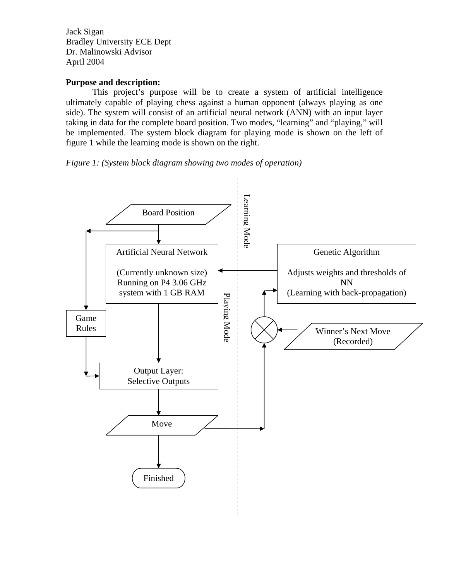Jack Sigan Bradley University ECE Dept Dr. Malinowski Advisor April 2004

## **Purpose and description:**

 This project's purpose will be to create a system of artificial intelligence ultimately capable of playing chess against a human opponent (always playing as one side). The system will consist of an artificial neural network (ANN) with an input layer taking in data for the complete board position. Two modes, "learning" and "playing," will be implemented. The system block diagram for playing mode is shown on the left of figure 1 while the learning mode is shown on the right.

*Figure 1: (System block diagram showing two modes of operation)* 

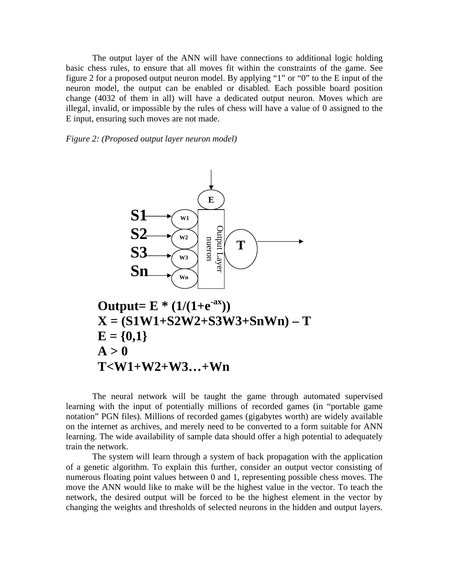The output layer of the ANN will have connections to additional logic holding basic chess rules, to ensure that all moves fit within the constraints of the game. See figure 2 for a proposed output neuron model. By applying "1" or "0" to the E input of the neuron model, the output can be enabled or disabled. Each possible board position change (4032 of them in all) will have a dedicated output neuron. Moves which are illegal, invalid, or impossible by the rules of chess will have a value of 0 assigned to the E input, ensuring such moves are not made.

*Figure 2: (Proposed output layer neuron model)* 



The neural network will be taught the game through automated supervised learning with the input of potentially millions of recorded games (in "portable game notation" PGN files). Millions of recorded games (gigabytes worth) are widely available on the internet as archives, and merely need to be converted to a form suitable for ANN learning. The wide availability of sample data should offer a high potential to adequately train the network.

The system will learn through a system of back propagation with the application of a genetic algorithm. To explain this further, consider an output vector consisting of numerous floating point values between 0 and 1, representing possible chess moves. The move the ANN would like to make will be the highest value in the vector. To teach the network, the desired output will be forced to be the highest element in the vector by changing the weights and thresholds of selected neurons in the hidden and output layers.